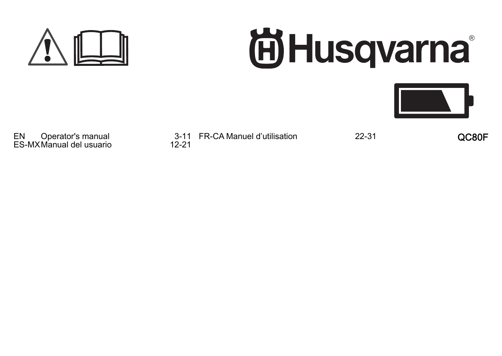

# 尚Husqvarna<sup>®</sup>



EN Operator's manual 3-11<br>ES-MX Manual del usuario 12-21 ES-MX Manual del usuario

3-11 FR-CA Manuel d'utilisation 22-31 QC80F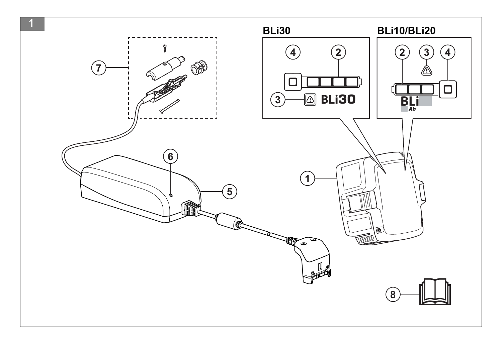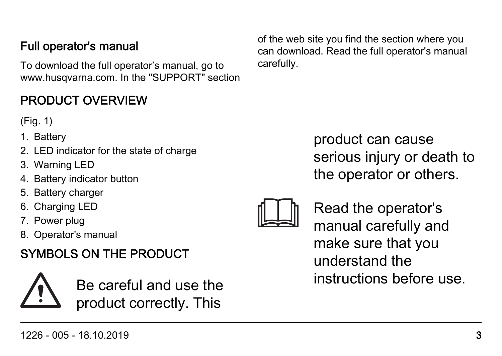#### 1226 - 005 - 18.10.2019 3

#### Full operator's manual

To download the full operator's manual, go to www.husqvarna.com. In the "SUPPORT" section

### PRODUCT OVERVIEW

(Fig. 1)

- 1. Battery
- 2. LED indicator for the state of charge
- 3. Warning LED
- 4. Battery indicator button
- 5. Battery charger
- 6. Charging LED
- 7. Power plug
- 8. Operator's manual

# SYMBOLS ON THE PRODUCT



Be careful and use the product correctly. This

of the web site you find the section where you can download. Read the full operator's manual carefully.

> product can cause serious injury or death to the operator or others.



Read the operator's manual carefully and make sure that you understand the instructions before use.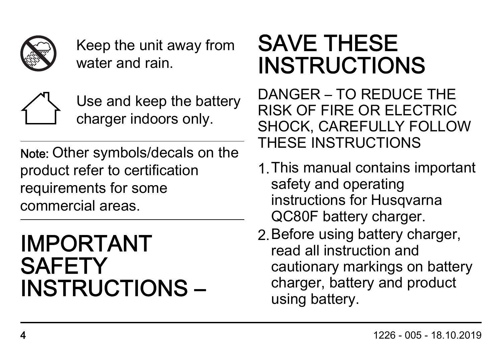

Keep the unit away from water and rain.



Use and keep the battery charger indoors only.

Note: Other symbols/decals on the product refer to certification requirements for some commercial areas.

# IMPORTANT **SAFETY** INSTRUCTIONS –

# SAVE THESE INSTRUCTIONS

DANGER – TO REDUCE THE RISK OF FIRE OR ELECTRIC SHOCK, CAREFULLY FOLLOW THESE INSTRUCTIONS

- 1.This manual contains important safety and operating instructions for Husqvarna QC80F battery charger.
- 2.Before using battery charger, read all instruction and cautionary markings on battery charger, battery and product using battery.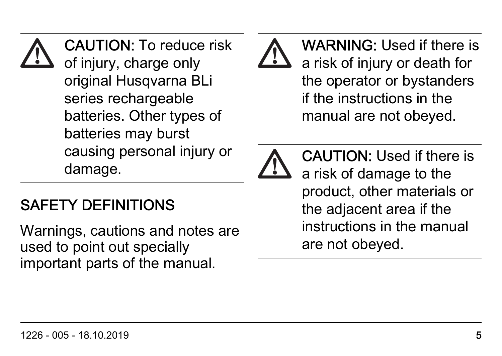## CAUTION: To reduce risk of injury, charge only original Husqvarna BLi series rechargeable batteries. Other types of batteries may burst causing personal injury or damage.

# SAFETY DEFINITIONS

Warnings, cautions and notes are used to point out specially important parts of the manual.





CAUTION: Used if there is a risk of damage to the product, other materials or the adjacent area if the instructions in the manual are not obeyed.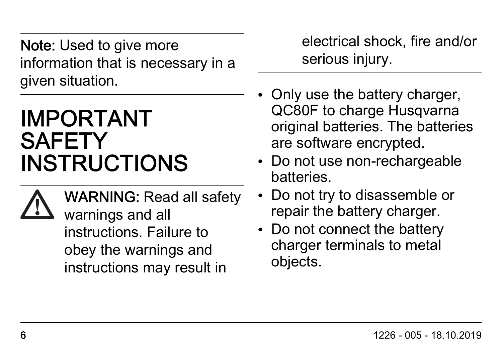Note: Used to give more information that is necessary in a given situation.

# IMPORTANT **SAFETY** INSTRUCTIONS



WARNING: Read all safety warnings and all instructions. Failure to obey the warnings and instructions may result in

electrical shock, fire and/or serious injury.

- Only use the battery charger, QC80F to charge Husqvarna original batteries. The batteries are software encrypted.
- Do not use non-rechargeable batteries.
- Do not try to disassemble or repair the battery charger.
- Do not connect the battery charger terminals to metal objects.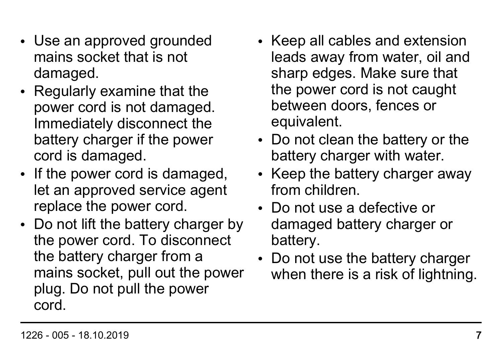- Use an approved grounded mains socket that is not damaged.
- Regularly examine that the power cord is not damaged. Immediately disconnect the battery charger if the power cord is damaged.
- If the power cord is damaged. let an approved service agent replace the power cord.
- Do not lift the battery charger by the power cord. To disconnect the battery charger from a mains socket, pull out the power plug. Do not pull the power cord.
- Keep all cables and extension leads away from water, oil and sharp edges. Make sure that the power cord is not caught between doors, fences or equivalent.
- Do not clean the battery or the battery charger with water.
- Keep the battery charger away from children.
- Do not use a defective or damaged battery charger or battery.
- Do not use the battery charger when there is a risk of lightning.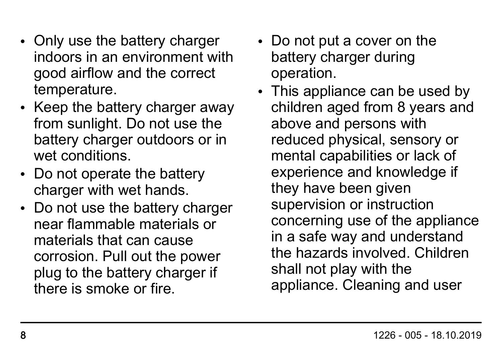- Only use the battery charger indoors in an environment with good airflow and the correct temperature.
- Keep the battery charger away from sunlight. Do not use the battery charger outdoors or in wet conditions.
- Do not operate the battery charger with wet hands.
- Do not use the battery charger near flammable materials or materials that can cause corrosion. Pull out the power plug to the battery charger if there is smoke or fire.
- Do not put a cover on the battery charger during operation.
- This appliance can be used by children aged from 8 years and above and persons with reduced physical, sensory or mental capabilities or lack of experience and knowledge if they have been given supervision or instruction concerning use of the appliance in a safe way and understand the hazards involved. Children shall not play with the appliance. Cleaning and user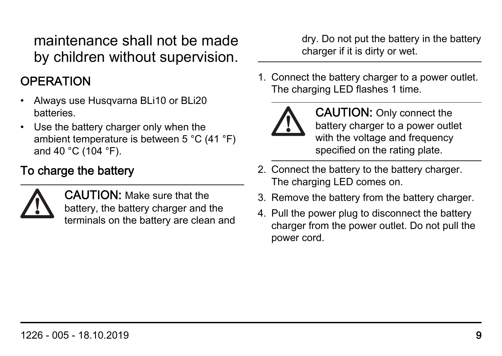maintenance shall not be made by children without supervision.

#### **OPERATION**

- Always use Husqvarna BLi10 or BLi20 batteries.
- Use the battery charger only when the ambient temperature is between 5 °C (41 °F) and 40 °C (104 °F).

#### To charge the battery



CAUTION: Make sure that the battery, the battery charger and the terminals on the battery are clean and dry. Do not put the battery in the battery charger if it is dirty or wet.

1. Connect the battery charger to a power outlet. The charging LED flashes 1 time.



CAUTION: Only connect the battery charger to a power outlet with the voltage and frequency specified on the rating plate.

- 2. Connect the battery to the battery charger. The charging LED comes on.
- 3. Remove the battery from the battery charger.
- 4. Pull the power plug to disconnect the battery charger from the power outlet. Do not pull the power cord.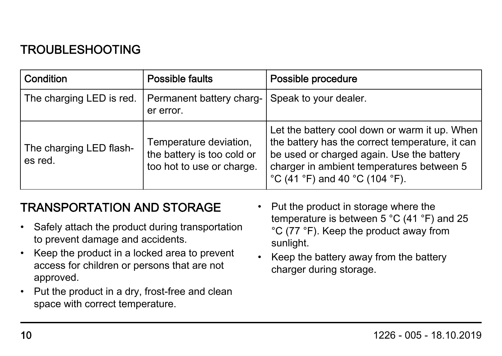#### TROUBLESHOOTING

| Condition                          | Possible faults                                                                   | Possible procedure                                                                                                                                                                                                           |
|------------------------------------|-----------------------------------------------------------------------------------|------------------------------------------------------------------------------------------------------------------------------------------------------------------------------------------------------------------------------|
| The charging LED is red.           | Permanent battery charg-<br>er error.                                             | Speak to your dealer.                                                                                                                                                                                                        |
| The charging LED flash-<br>es red. | Temperature deviation,<br>the battery is too cold or<br>too hot to use or charge. | Let the battery cool down or warm it up. When<br>the battery has the correct temperature, it can<br>be used or charged again. Use the battery<br>charger in ambient temperatures between 5<br>°C (41 °F) and 40 °C (104 °F). |

#### TRANSPORTATION AND STORAGE

- Safely attach the product during transportation to prevent damage and accidents.
- Keep the product in a locked area to prevent access for children or persons that are not approved.
- Put the product in a dry, frost-free and clean space with correct temperature.
- Put the product in storage where the temperature is between 5 °C (41 °F) and 25 °C (77 °F). Keep the product away from sunlight.
- Keep the battery away from the battery charger during storage.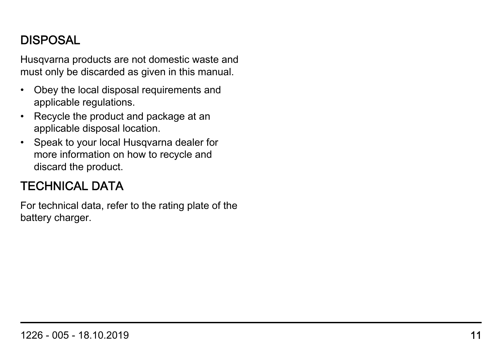#### DISPOSAL

Husqvarna products are not domestic waste and must only be discarded as given in this manual.

- Obey the local disposal requirements and applicable regulations.
- Recycle the product and package at an applicable disposal location.
- Speak to your local Husqvarna dealer for more information on how to recycle and discard the product.

#### TECHNICAL DATA

For technical data, refer to the rating plate of the battery charger.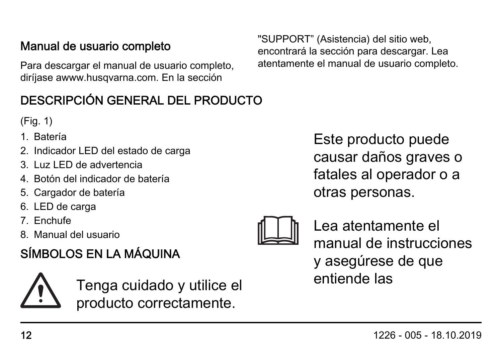#### Manual de usuario completo

Para descargar el manual de usuario completo, diríjase awww.husqvarna.com. En la sección

#### DESCRIPCIÓN GENERAL DEL PRODUCTO

(Fig. 1)

- 1. Batería
- 2. Indicador LED del estado de carga
- 3. Luz LED de advertencia
- 4. Botón del indicador de batería
- 5. Cargador de batería
- 6. LED de carga
- 7. Enchufe
- 8. Manual del usuario

## SÍMBOLOS EN LA MÁQUINA

Tenga cuidado y utilice el producto correctamente.

Este producto puede causar daños graves o fatales al operador o a otras personas.



Lea atentamente el manual de instrucciones y asegúrese de que entiende las

"SUPPORT" (Asistencia) del sitio web, encontrará la sección para descargar. Lea atentamente el manual de usuario completo.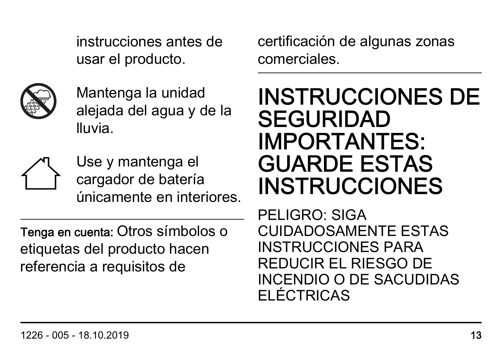instrucciones antes de usar el producto.



Mantenga la unidad alejada del agua y de la lluvia.



Use y mantenga el cargador de batería únicamente en interiores.

Tenga en cuenta: Otros símbolos o etiquetas del producto hacen referencia a requisitos de

certificación de algunas zonas comerciales.

# INSTRUCCIONES DE SEGURIDAD IMPORTANTES: GUARDE ESTAS **INSTRUCCIONES**

PELIGRO: SIGA CUIDADOSAMENTE ESTAS INSTRUCCIONES PARA REDUCIR EL RIESGO DE INCENDIO O DE SACUDIDAS ELÉCTRICAS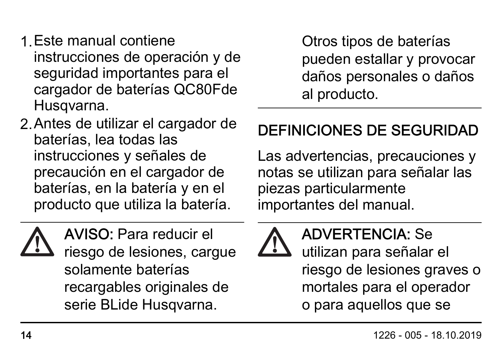- 1.Este manual contiene instrucciones de operación y de seguridad importantes para el cargador de baterías QC80Fde Husqvarna.
- 2.Antes de utilizar el cargador de baterías, lea todas las instrucciones y señales de precaución en el cargador de baterías, en la batería y en el producto que utiliza la batería.



AVISO: Para reducir el riesgo de lesiones, cargue solamente baterías recargables originales de serie BLide Husqvarna.

Otros tipos de baterías pueden estallar y provocar daños personales o daños al producto.

# DEFINICIONES DE SEGURIDAD

Las advertencias, precauciones y notas se utilizan para señalar las piezas particularmente importantes del manual.



## ADVERTENCIA: Se

utilizan para señalar el riesgo de lesiones graves o mortales para el operador o para aquellos que se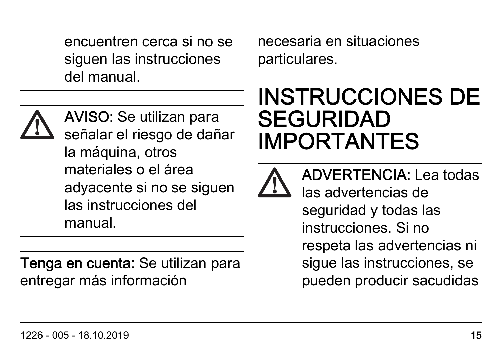encuentren cerca si no se siguen las instrucciones del manual.



AVISO: Se utilizan para señalar el riesgo de dañar la máquina, otros materiales o el área adyacente si no se siguen las instrucciones del manual.

Tenga en cuenta: Se utilizan para entregar más información

necesaria en situaciones particulares.

# INSTRUCCIONES DE SEGURIDAD IMPORTANTES



ADVERTENCIA: Lea todas las advertencias de seguridad y todas las instrucciones. Si no respeta las advertencias ni sigue las instrucciones, se pueden producir sacudidas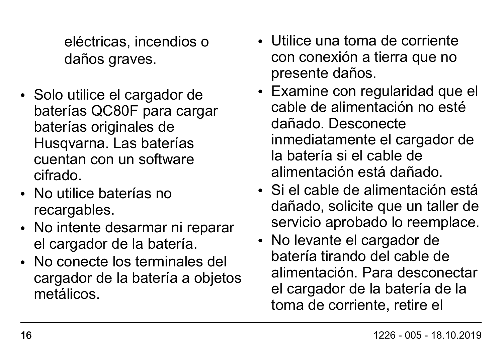eléctricas, incendios o daños graves.

- Solo utilice el cargador de baterías QC80F para cargar baterías originales de Husqvarna. Las baterías cuentan con un software cifrado.
- No utilice baterías no recargables.
- No intente desarmar ni reparar el cargador de la batería.
- No conecte los terminales del cargador de la batería a objetos metálicos.
- Utilice una toma de corriente con conexión a tierra que no presente daños.
- Examine con regularidad que el cable de alimentación no esté dañado. Desconecte inmediatamente el cargador de la batería si el cable de alimentación está dañado.
- Si el cable de alimentación está dañado, solicite que un taller de servicio aprobado lo reemplace.
- No levante el cargador de batería tirando del cable de alimentación. Para desconectar el cargador de la batería de la toma de corriente, retire el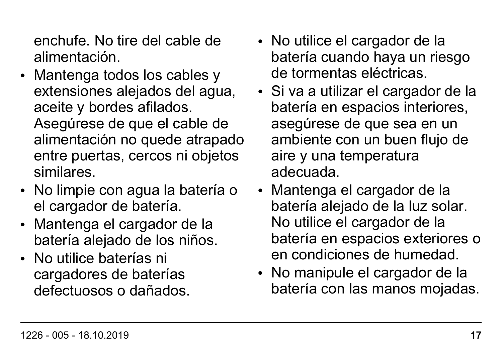enchufe. No tire del cable de alimentación.

- Mantenga todos los cables y extensiones alejados del agua, aceite y bordes afilados. Asegúrese de que el cable de alimentación no quede atrapado entre puertas, cercos ni objetos similares.
- No limpie con agua la batería o el cargador de batería.
- Mantenga el cargador de la batería alejado de los niños.
- No utilice baterías ni cargadores de baterías defectuosos o dañados.
- No utilice el cargador de la batería cuando haya un riesgo de tormentas eléctricas.
- Si va a utilizar el cargador de la batería en espacios interiores, asegúrese de que sea en un ambiente con un buen flujo de aire y una temperatura adecuada.
- Mantenga el cargador de la batería alejado de la luz solar. No utilice el cargador de la batería en espacios exteriores o en condiciones de humedad.
- No manipule el cargador de la batería con las manos mojadas.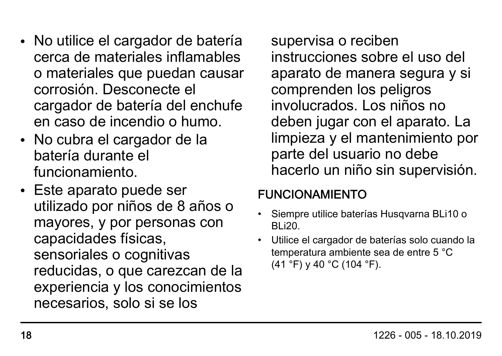- No utilice el cargador de batería cerca de materiales inflamables o materiales que puedan causar corrosión. Desconecte el cargador de batería del enchufe en caso de incendio o humo.
- No cubra el cargador de la batería durante el funcionamiento.
- Este aparato puede ser utilizado por niños de 8 años o mayores, y por personas con capacidades físicas, sensoriales o cognitivas reducidas, o que carezcan de la experiencia y los conocimientos necesarios, solo si se los

supervisa o reciben instrucciones sobre el uso del aparato de manera segura y si comprenden los peligros involucrados. Los niños no deben jugar con el aparato. La limpieza y el mantenimiento por parte del usuario no debe hacerlo un niño sin supervisión.

#### FUNCIONAMIENTO

- Siempre utilice baterías Husqvarna BLi10 o BLi20.
- Utilice el cargador de baterías solo cuando la temperatura ambiente sea de entre 5 °C (41 °F) y 40 °C (104 °F).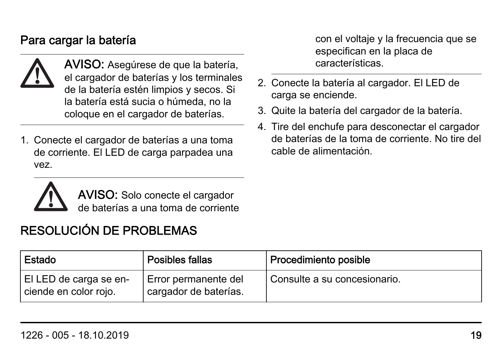#### Para cargar la batería



AVISO: Asegúrese de que la batería, el cargador de baterías y los terminales de la batería estén limpios y secos. Si la batería está sucia o húmeda, no la coloque en el cargador de baterías.

1. Conecte el cargador de baterías a una toma de corriente. El LED de carga parpadea una vez.

con el voltaje y la frecuencia que se especifican en la placa de características.

- 2. Conecte la batería al cargador. El LED de carga se enciende.
- 3. Quite la batería del cargador de la batería.
- 4. Tire del enchufe para desconectar el cargador de baterías de la toma de corriente. No tire del cable de alimentación.



AVISO: Solo conecte el cargador de baterías a una toma de corriente

#### RESOLUCIÓN DE PROBLEMAS

| Estado                                          | Posibles fallas                               | Procedimiento posible        |
|-------------------------------------------------|-----------------------------------------------|------------------------------|
| EI LED de carga se en-<br>ciende en color rojo. | Error permanente del<br>cargador de baterías. | Consulte a su concesionario. |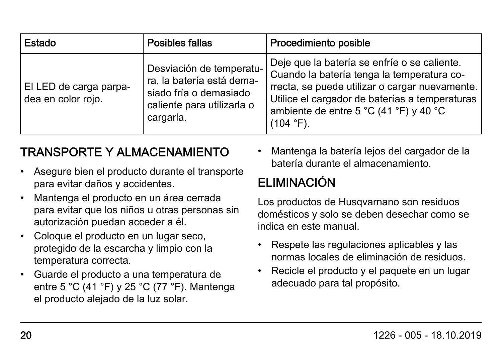| Estado                                       | Posibles fallas                                                                                                            | Procedimiento posible                                                                                                                                                                                                                                    |
|----------------------------------------------|----------------------------------------------------------------------------------------------------------------------------|----------------------------------------------------------------------------------------------------------------------------------------------------------------------------------------------------------------------------------------------------------|
| El LED de carga parpa-<br>dea en color rojo. | Desviación de temperatu-<br>ra, la batería está dema-<br>siado fría o demasiado<br>caliente para utilizarla o<br>cargarla. | Deje que la batería se enfríe o se caliente.<br>Cuando la batería tenga la temperatura co-<br>rrecta, se puede utilizar o cargar nuevamente.<br>Utilice el cargador de baterías a temperaturas<br>ambiente de entre 5 °C (41 °F) y 40 °C<br>$(104 °F)$ . |

#### TRANSPORTE Y ALMACENAMIENTO

- Asegure bien el producto durante el transporte para evitar daños y accidentes.
- Mantenga el producto en un área cerrada para evitar que los niños u otras personas sin autorización puedan acceder a él.
- Coloque el producto en un lugar seco, protegido de la escarcha y limpio con la temperatura correcta.
- Guarde el producto a una temperatura de entre 5 °C (41 °F) y 25 °C (77 °F). Mantenga el producto alejado de la luz solar.

• Mantenga la batería lejos del cargador de la batería durante el almacenamiento.

## ELIMINACIÓN

Los productos de Husqvarnano son residuos domésticos y solo se deben desechar como se indica en este manual.

- Respete las regulaciones aplicables y las normas locales de eliminación de residuos.
- Recicle el producto y el paquete en un lugar adecuado para tal propósito.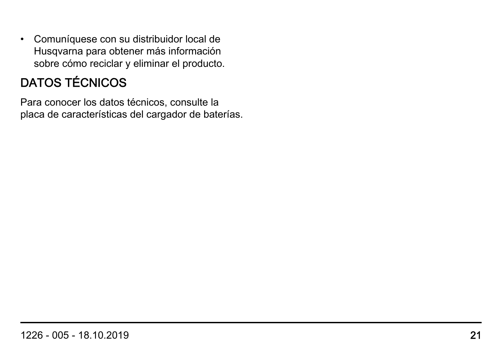• Comuníquese con su distribuidor local de Husqvarna para obtener más información sobre cómo reciclar y eliminar el producto.

## DATOS TÉCNICOS

Para conocer los datos técnicos, consulte la placa de características del cargador de baterías.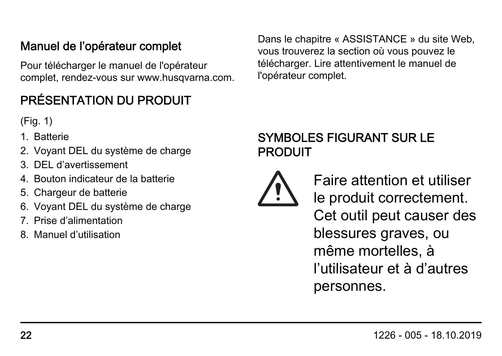#### Manuel de l'opérateur complet

Pour télécharger le manuel de l'opérateur complet, rendez-vous sur www.husqvarna.com.

## PRÉSENTATION DU PRODUIT

(Fig. 1)

- 1. Batterie
- 2. Voyant DEL du système de charge
- 3. DEL d'avertissement
- 4. Bouton indicateur de la batterie
- 5. Chargeur de batterie
- 6. Voyant DEL du système de charge
- 7. Prise d'alimentation
- 8. Manuel d'utilisation

Dans le chapitre « ASSISTANCE » du site Web, vous trouverez la section où vous pouvez le télécharger. Lire attentivement le manuel de l'opérateur complet.

#### SYMBOLES FIGURANT SUR LE PRODUIT



Faire attention et utiliser le produit correctement. Cet outil peut causer des blessures graves, ou même mortelles, à l'utilisateur et à d'autres personnes.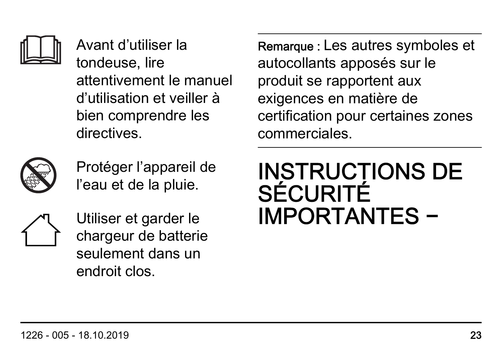

Avant d'utiliser la tondeuse, lire attentivement le manuel d'utilisation et veiller à bien comprendre les directives.



Protéger l'appareil de l'eau et de la pluie.



Utiliser et garder le chargeur de batterie seulement dans un endroit clos.

Remarque : Les autres symboles et autocollants apposés sur le produit se rapportent aux exigences en matière de certification pour certaines zones commerciales.

# INSTRUCTIONS DE **SÉCURITÉ** IMPORTANTES −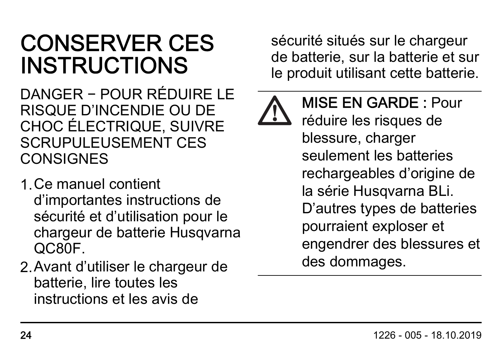# CONSERVER CES INSTRUCTIONS

DANGER − POUR RÉDUIRE LE RISQUE D'INCENDIE OU DE CHOC ÉLECTRIQUE, SUIVRE SCRUPULEUSEMENT CES **CONSIGNES** 

- 1.Ce manuel contient d'importantes instructions de sécurité et d'utilisation pour le chargeur de batterie Husqvarna QC80F.
- 2.Avant d'utiliser le chargeur de batterie, lire toutes les instructions et les avis de

sécurité situés sur le chargeur de batterie, sur la batterie et sur le produit utilisant cette batterie.



MISE EN GARDE : Pour réduire les risques de blessure, charger seulement les batteries rechargeables d'origine de la série Husqvarna BLi. D'autres types de batteries pourraient exploser et engendrer des blessures et des dommages.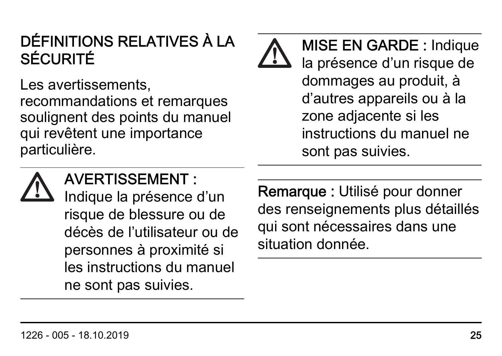# DÉFINITIONS RELATIVES À LA SÉCURITÉ

Les avertissements. recommandations et remarques soulignent des points du manuel qui revêtent une importance particulière.

MISE EN GARDE : Indique la présence d'un risque de dommages au produit, à d'autres appareils ou à la zone adjacente si les instructions du manuel ne sont pas suivies.



## AVERTISSEMENT :

Indique la présence d'un risque de blessure ou de décès de l'utilisateur ou de personnes à proximité si les instructions du manuel ne sont pas suivies.

Remarque : Utilisé pour donner des renseignements plus détaillés qui sont nécessaires dans une situation donnée.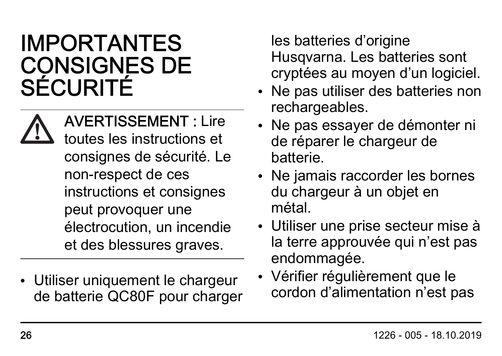# IMPORTANTES CONSIGNES DE SÉCURITÉ

AVERTISSEMENT : Lire toutes les instructions et consignes de sécurité. Le non-respect de ces instructions et consignes peut provoquer une électrocution, un incendie et des blessures graves.

• Utiliser uniquement le chargeur de batterie QC80F pour charger

les batteries d'origine Husqvarna. Les batteries sont cryptées au moyen d'un logiciel.

- Ne pas utiliser des batteries non rechargeables.
- Ne pas essayer de démonter ni de réparer le chargeur de batterie.
- Ne jamais raccorder les bornes du chargeur à un objet en métal.
- Utiliser une prise secteur mise à la terre approuvée qui n'est pas endommagée.
- Vérifier régulièrement que le cordon d'alimentation n'est pas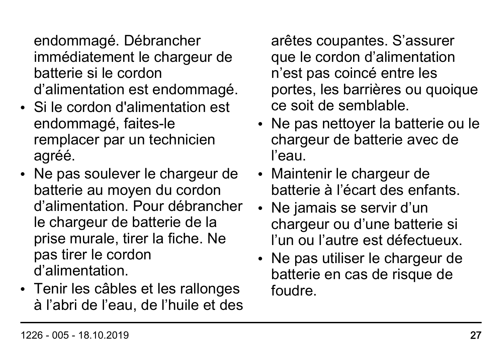endommagé. Débrancher immédiatement le chargeur de batterie si le cordon d'alimentation est endommagé.

- Si le cordon d'alimentation est endommagé, faites-le remplacer par un technicien agréé.
- Ne pas soulever le chargeur de batterie au moyen du cordon d'alimentation. Pour débrancher le chargeur de batterie de la prise murale, tirer la fiche. Ne pas tirer le cordon d'alimentation.
- Tenir les câbles et les rallonges à l'abri de l'eau, de l'huile et des

arêtes coupantes. S'assurer que le cordon d'alimentation n'est pas coincé entre les portes, les barrières ou quoique ce soit de semblable.

- Ne pas nettoyer la batterie ou le chargeur de batterie avec de l'eau.
- Maintenir le chargeur de batterie à l'écart des enfants.
- Ne jamais se servir d'un chargeur ou d'une batterie si l'un ou l'autre est défectueux.
- Ne pas utiliser le chargeur de batterie en cas de risque de foudre.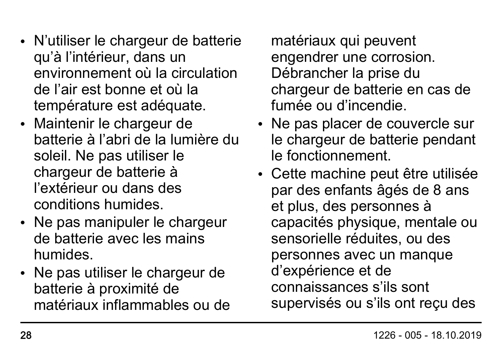- N'utiliser le chargeur de batterie qu'à l'intérieur, dans un environnement où la circulation de l'air est bonne et où la température est adéquate.
- Maintenir le chargeur de batterie à l'abri de la lumière du soleil. Ne pas utiliser le chargeur de batterie à l'extérieur ou dans des conditions humides.
- Ne pas manipuler le chargeur de batterie avec les mains humides.
- Ne pas utiliser le chargeur de batterie à proximité de matériaux inflammables ou de

matériaux qui peuvent engendrer une corrosion. Débrancher la prise du chargeur de batterie en cas de fumée ou d'incendie.

- Ne pas placer de couvercle sur le chargeur de batterie pendant le fonctionnement.
- Cette machine peut être utilisée par des enfants âgés de 8 ans et plus, des personnes à capacités physique, mentale ou sensorielle réduites, ou des personnes avec un manque d'expérience et de connaissances s'ils sont supervisés ou s'ils ont reçu des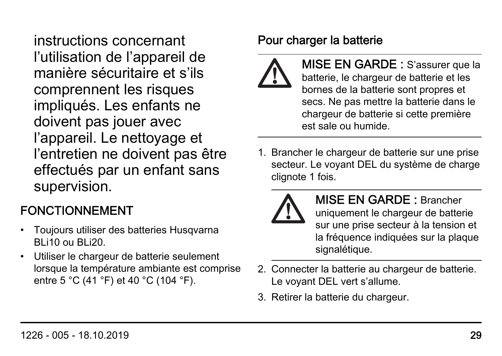instructions concernant l'utilisation de l'appareil de manière sécuritaire et s'ils comprennent les risques impliqués. Les enfants ne doivent pas jouer avec l'appareil. Le nettoyage et l'entretien ne doivent pas être effectués par un enfant sans supervision.

#### FONCTIONNEMENT

- Toujours utiliser des batteries Husqvarna BLi10 ou BLi20.
- Utiliser le chargeur de batterie seulement lorsque la température ambiante est comprise entre 5 °C (41 °F) et 40 °C (104 °F).

#### Pour charger la batterie



MISE EN GARDE : S'assurer que la batterie, le chargeur de batterie et les bornes de la batterie sont propres et secs. Ne pas mettre la batterie dans le chargeur de batterie si cette première est sale ou humide.

1. Brancher le chargeur de batterie sur une prise secteur. Le voyant DEL du système de charge clignote 1 fois.



MISE EN GARDE : Brancher uniquement le chargeur de batterie sur une prise secteur à la tension et la fréquence indiquées sur la plaque signalétique.

- 2. Connecter la batterie au chargeur de batterie. Le voyant DEL vert s'allume.
- 3. Retirer la batterie du chargeur.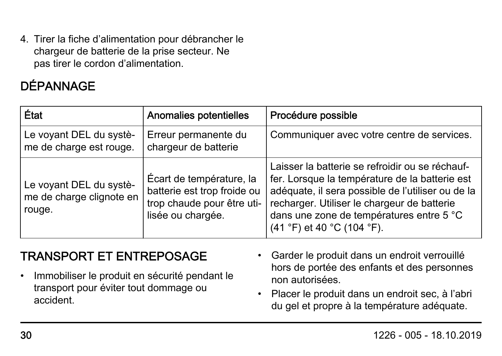4. Tirer la fiche d'alimentation pour débrancher le chargeur de batterie de la prise secteur. Ne pas tirer le cordon d'alimentation.

## DÉPANNAGE

| État                                                          | Anomalies potentielles                                                                                     | Procédure possible                                                                                                                                                                                                                                                                                                  |
|---------------------------------------------------------------|------------------------------------------------------------------------------------------------------------|---------------------------------------------------------------------------------------------------------------------------------------------------------------------------------------------------------------------------------------------------------------------------------------------------------------------|
| Le voyant DEL du systè-<br>me de charge est rouge.            | Erreur permanente du<br>chargeur de batterie                                                               | Communiquer avec votre centre de services.                                                                                                                                                                                                                                                                          |
| Le voyant DEL du systè-<br>me de charge clignote en<br>rouge. | Écart de température, la<br>batterie est trop froide ou<br>trop chaude pour être uti-<br>lisée ou chargée. | Laisser la batterie se refroidir ou se réchauf-<br>fer. Lorsque la température de la batterie est<br>adéquate, il sera possible de l'utiliser ou de la<br>recharger. Utiliser le chargeur de batterie<br>dans une zone de températures entre 5 °C<br>$(41 \text{ }^{\circ}F)$ et 40 $^{\circ}C$ (104 $^{\circ}F$ ). |

#### TRANSPORT ET ENTREPOSAGE

- Immobiliser le produit en sécurité pendant le transport pour éviter tout dommage ou accident.
- Garder le produit dans un endroit verrouillé hors de portée des enfants et des personnes non autorisées.
- Placer le produit dans un endroit sec, à l'abri du gel et propre à la température adéquate.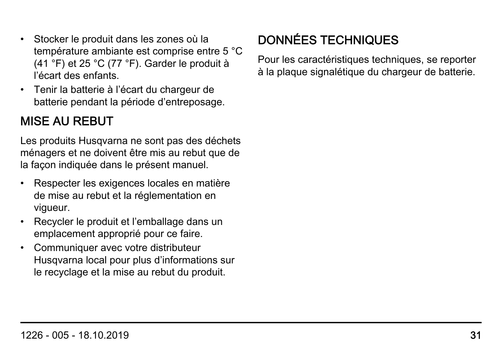- Stocker le produit dans les zones où la température ambiante est comprise entre 5 °C (41 °F) et 25 °C (77 °F). Garder le produit à l'écart des enfants.
- Tenir la batterie à l'écart du chargeur de batterie pendant la période d'entreposage.

#### MISE AU REBUT

Les produits Husqvarna ne sont pas des déchets ménagers et ne doivent être mis au rebut que de la façon indiquée dans le présent manuel.

- Respecter les exigences locales en matière de mise au rebut et la réglementation en vigueur.
- Recycler le produit et l'emballage dans un emplacement approprié pour ce faire.
- Communiquer avec votre distributeur Husqvarna local pour plus d'informations sur le recyclage et la mise au rebut du produit.

## DONNÉES TECHNIQUES

Pour les caractéristiques techniques, se reporter à la plaque signalétique du chargeur de batterie.